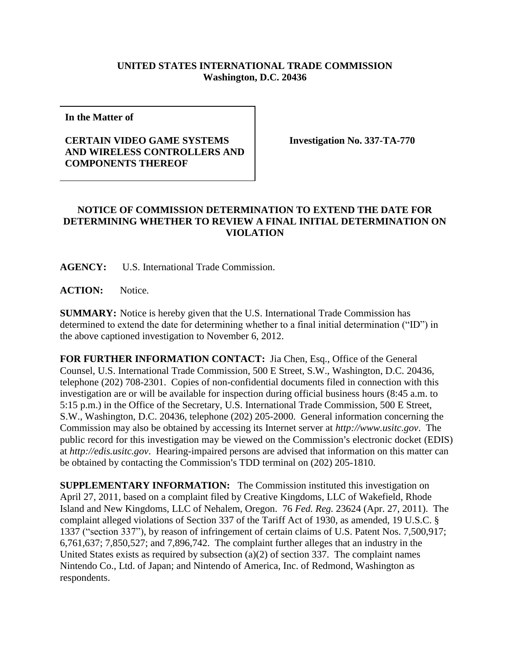## **UNITED STATES INTERNATIONAL TRADE COMMISSION Washington, D.C. 20436**

**In the Matter of**

## **CERTAIN VIDEO GAME SYSTEMS AND WIRELESS CONTROLLERS AND COMPONENTS THEREOF**

**Investigation No. 337-TA-770**

## **NOTICE OF COMMISSION DETERMINATION TO EXTEND THE DATE FOR DETERMINING WHETHER TO REVIEW A FINAL INITIAL DETERMINATION ON VIOLATION**

**AGENCY:** U.S. International Trade Commission.

**ACTION:** Notice.

**SUMMARY:** Notice is hereby given that the U.S. International Trade Commission has determined to extend the date for determining whether to a final initial determination ("ID") in the above captioned investigation to November 6, 2012.

**FOR FURTHER INFORMATION CONTACT:** Jia Chen, Esq., Office of the General Counsel, U.S. International Trade Commission, 500 E Street, S.W., Washington, D.C. 20436, telephone (202) 708-2301. Copies of non-confidential documents filed in connection with this investigation are or will be available for inspection during official business hours (8:45 a.m. to 5:15 p.m.) in the Office of the Secretary, U.S. International Trade Commission, 500 E Street, S.W., Washington, D.C. 20436, telephone (202) 205-2000. General information concerning the Commission may also be obtained by accessing its Internet server at *http://www.usitc.gov*. The public record for this investigation may be viewed on the Commission's electronic docket (EDIS) at *http://edis.usitc.gov*. Hearing-impaired persons are advised that information on this matter can be obtained by contacting the Commission's TDD terminal on (202) 205-1810.

**SUPPLEMENTARY INFORMATION:** The Commission instituted this investigation on April 27, 2011, based on a complaint filed by Creative Kingdoms, LLC of Wakefield, Rhode Island and New Kingdoms, LLC of Nehalem, Oregon. 76 *Fed. Reg.* 23624 (Apr. 27, 2011). The complaint alleged violations of Section 337 of the Tariff Act of 1930, as amended, 19 U.S.C. § 1337 ("section 337"), by reason of infringement of certain claims of U.S. Patent Nos. 7,500,917; 6,761,637; 7,850,527; and 7,896,742. The complaint further alleges that an industry in the United States exists as required by subsection (a)(2) of section 337. The complaint names Nintendo Co., Ltd. of Japan; and Nintendo of America, Inc. of Redmond, Washington as respondents.